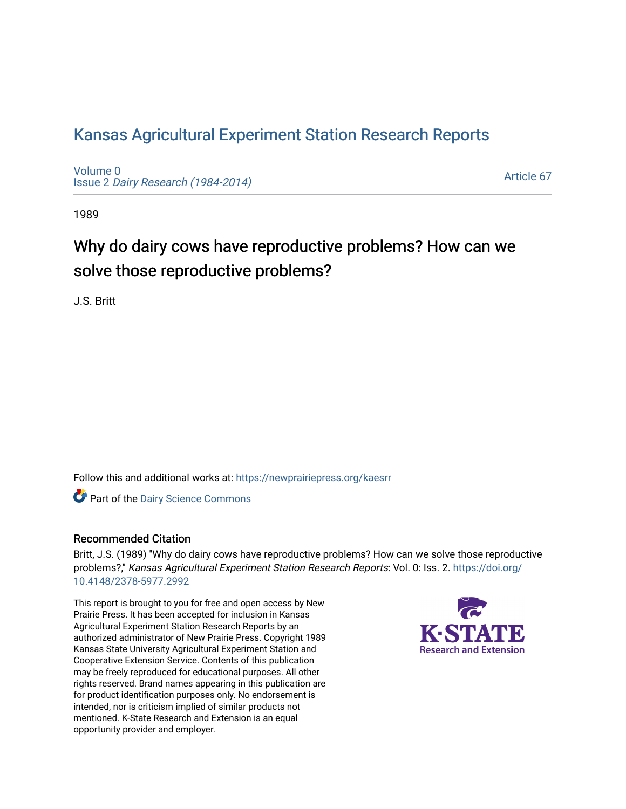# [Kansas Agricultural Experiment Station Research Reports](https://newprairiepress.org/kaesrr)

[Volume 0](https://newprairiepress.org/kaesrr/vol0) Issue 2 [Dairy Research \(1984-2014\)](https://newprairiepress.org/kaesrr/vol0/iss2) 

[Article 67](https://newprairiepress.org/kaesrr/vol0/iss2/67) 

1989

# Why do dairy cows have reproductive problems? How can we solve those reproductive problems?

J.S. Britt

Follow this and additional works at: [https://newprairiepress.org/kaesrr](https://newprairiepress.org/kaesrr?utm_source=newprairiepress.org%2Fkaesrr%2Fvol0%2Fiss2%2F67&utm_medium=PDF&utm_campaign=PDFCoverPages) 

Part of the [Dairy Science Commons](http://network.bepress.com/hgg/discipline/79?utm_source=newprairiepress.org%2Fkaesrr%2Fvol0%2Fiss2%2F67&utm_medium=PDF&utm_campaign=PDFCoverPages) 

# Recommended Citation

Britt, J.S. (1989) "Why do dairy cows have reproductive problems? How can we solve those reproductive problems?," Kansas Agricultural Experiment Station Research Reports: Vol. 0: Iss. 2. [https://doi.org/](https://doi.org/10.4148/2378-5977.2992) [10.4148/2378-5977.2992](https://doi.org/10.4148/2378-5977.2992)

This report is brought to you for free and open access by New Prairie Press. It has been accepted for inclusion in Kansas Agricultural Experiment Station Research Reports by an authorized administrator of New Prairie Press. Copyright 1989 Kansas State University Agricultural Experiment Station and Cooperative Extension Service. Contents of this publication may be freely reproduced for educational purposes. All other rights reserved. Brand names appearing in this publication are for product identification purposes only. No endorsement is intended, nor is criticism implied of similar products not mentioned. K-State Research and Extension is an equal opportunity provider and employer.

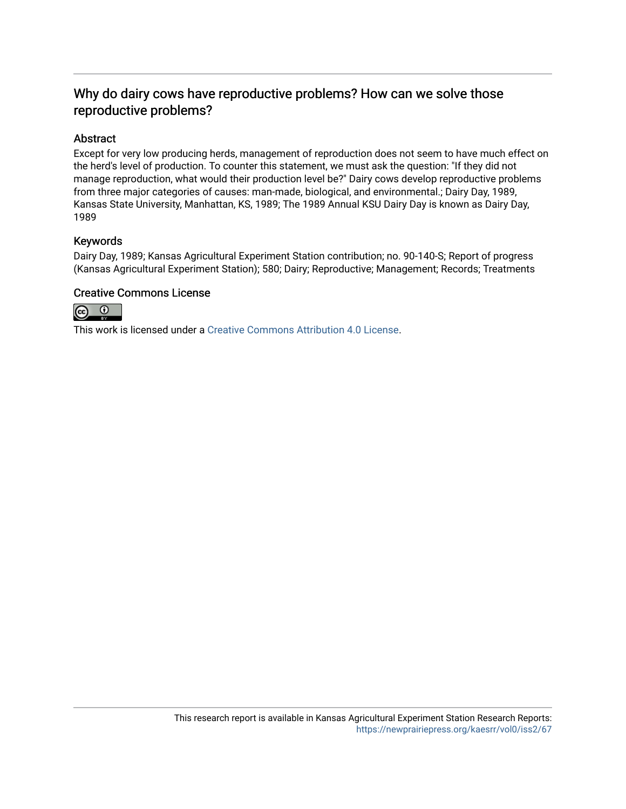# Why do dairy cows have reproductive problems? How can we solve those reproductive problems?

# Abstract

Except for very low producing herds, management of reproduction does not seem to have much effect on the herd's level of production. To counter this statement, we must ask the question: "If they did not manage reproduction, what would their production level be?" Dairy cows develop reproductive problems from three major categories of causes: man-made, biological, and environmental.; Dairy Day, 1989, Kansas State University, Manhattan, KS, 1989; The 1989 Annual KSU Dairy Day is known as Dairy Day, 1989

# Keywords

Dairy Day, 1989; Kansas Agricultural Experiment Station contribution; no. 90-140-S; Report of progress (Kansas Agricultural Experiment Station); 580; Dairy; Reproductive; Management; Records; Treatments

# Creative Commons License



This work is licensed under a [Creative Commons Attribution 4.0 License](https://creativecommons.org/licenses/by/4.0/).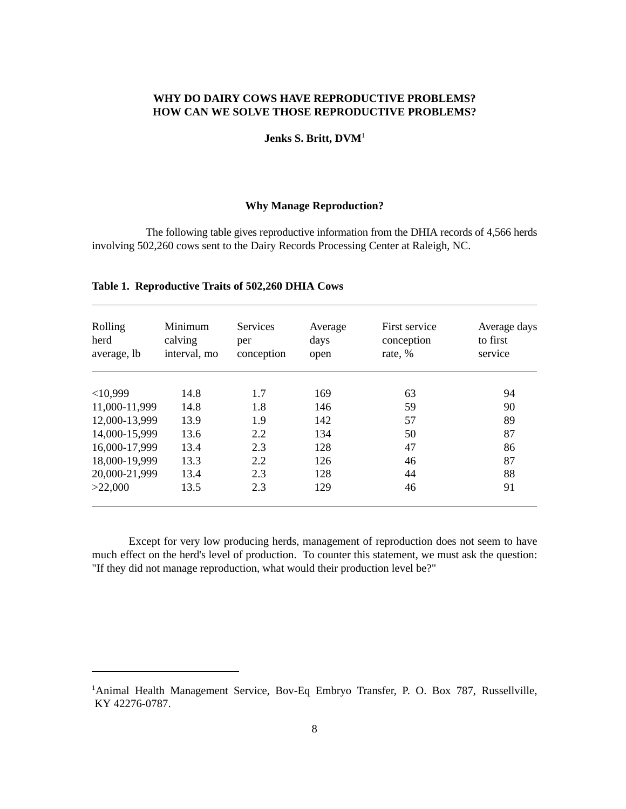# **WHY DO DAIRY COWS HAVE REPRODUCTIVE PROBLEMS? HOW CAN WE SOLVE THOSE REPRODUCTIVE PROBLEMS?**

#### **Jenks S. Britt, DVM**<sup>1</sup>

#### **Why Manage Reproduction?**

The following table gives reproductive information from the DHIA records of 4,566 herds involving 502,260 cows sent to the Dairy Records Processing Center at Raleigh, NC.

| Rolling<br>herd<br>average, lb | Minimum<br>calving<br>interval, mo | <b>Services</b><br>per<br>conception | Average<br>days<br>open | First service<br>conception<br>rate, % | Average days<br>to first<br>service |  |  |
|--------------------------------|------------------------------------|--------------------------------------|-------------------------|----------------------------------------|-------------------------------------|--|--|
|                                |                                    |                                      |                         |                                        |                                     |  |  |
| <10,999                        | 14.8                               | 1.7                                  | 169                     | 63                                     | 94                                  |  |  |
| 11,000-11,999                  | 14.8                               | 1.8                                  | 146                     | 59                                     | 90                                  |  |  |
| 12,000-13,999                  | 13.9                               | 1.9                                  | 142                     | 57                                     | 89                                  |  |  |
| 14,000-15,999                  | 13.6                               | 2.2                                  | 134                     | 50                                     | 87                                  |  |  |
| 16,000-17,999                  | 13.4                               | 2.3                                  | 128                     | 47                                     | 86                                  |  |  |
| 18,000-19,999                  | 13.3                               | 2.2                                  | 126                     | 46                                     | 87                                  |  |  |
| 20,000-21,999                  | 13.4                               | 2.3                                  | 128                     | 44                                     | 88                                  |  |  |
| >22,000                        | 13.5                               | 2.3                                  | 129                     | 46                                     | 91                                  |  |  |

## **Table 1. Reproductive Traits of 502,260 DHIA Cows**

Except for very low producing herds, management of reproduction does not seem to have much effect on the herd's level of production. To counter this statement, we must ask the question: "If they did not manage reproduction, what would their production level be?"

<sup>&</sup>lt;sup>1</sup>Animal Health Management Service, Bov-Eq Embryo Transfer, P. O. Box 787, Russellville, KY 42276-0787.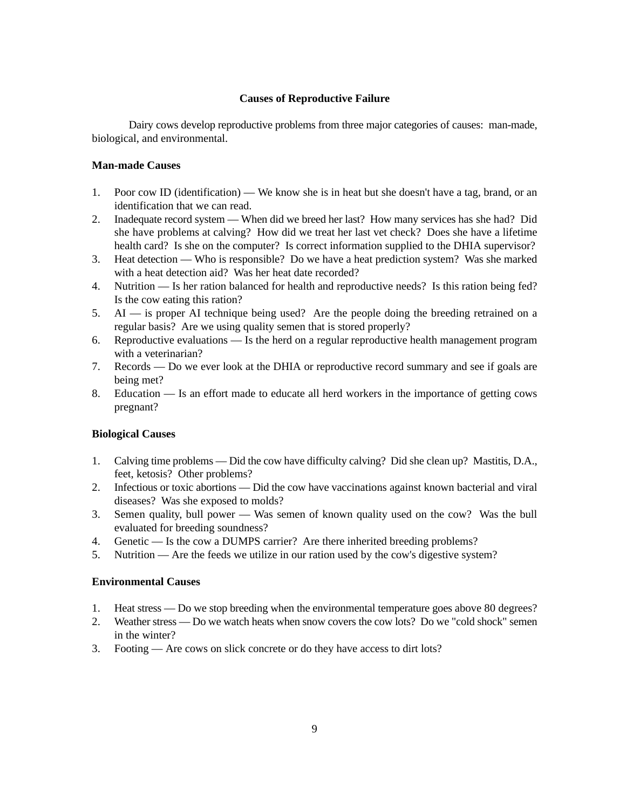# **Causes of Reproductive Failure**

Dairy cows develop reproductive problems from three major categories of causes: man-made, biological, and environmental.

# **Man-made Causes**

- 1. Poor cow ID (identification) We know she is in heat but she doesn't have a tag, brand, or an identification that we can read.
- 2. Inadequate record system When did we breed her last? How many services has she had? Did she have problems at calving? How did we treat her last vet check? Does she have a lifetime health card? Is she on the computer? Is correct information supplied to the DHIA supervisor?
- 3. Heat detection Who is responsible? Do we have a heat prediction system? Was she marked with a heat detection aid? Was her heat date recorded?
- 4. Nutrition Is her ration balanced for health and reproductive needs? Is this ration being fed? Is the cow eating this ration?
- 5. AI is proper AI technique being used? Are the people doing the breeding retrained on a regular basis? Are we using quality semen that is stored properly?
- 6. Reproductive evaluations Is the herd on a regular reproductive health management program with a veterinarian?
- 7. Records Do we ever look at the DHIA or reproductive record summary and see if goals are being met?
- 8. Education Is an effort made to educate all herd workers in the importance of getting cows pregnant?

# **Biological Causes**

- 1. Calving time problems Did the cow have difficulty calving? Did she clean up? Mastitis, D.A., feet, ketosis? Other problems?
- 2. Infectious or toxic abortions Did the cow have vaccinations against known bacterial and viral diseases? Was she exposed to molds?
- 3. Semen quality, bull power Was semen of known quality used on the cow? Was the bull evaluated for breeding soundness?
- 4. Genetic Is the cow a DUMPS carrier? Are there inherited breeding problems?
- 5. Nutrition Are the feeds we utilize in our ration used by the cow's digestive system?

#### **Environmental Causes**

- 1. Heat stress Do we stop breeding when the environmental temperature goes above 80 degrees?
- 2. Weather stress Do we watch heats when snow covers the cow lots? Do we "cold shock" semen in the winter?
- 3. Footing Are cows on slick concrete or do they have access to dirt lots?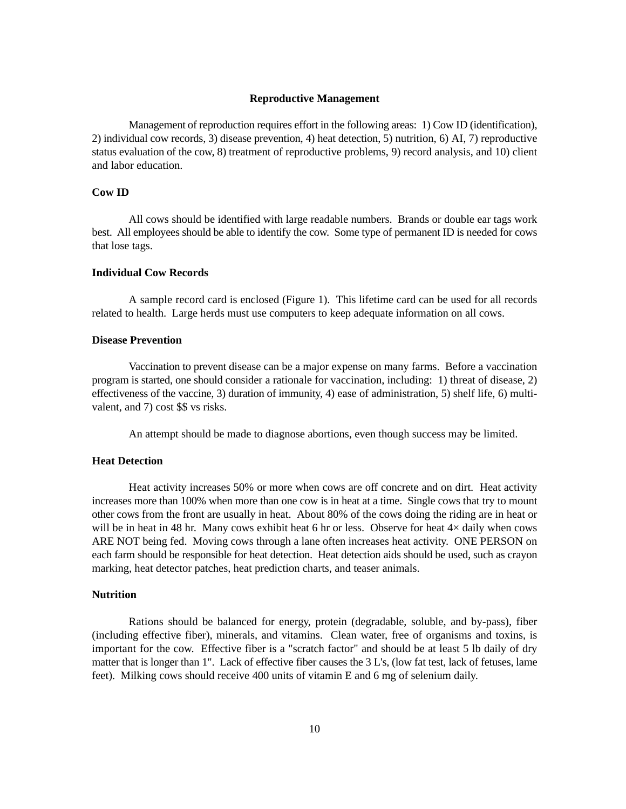#### **Reproductive Management**

Management of reproduction requires effort in the following areas: 1) Cow ID (identification), 2) individual cow records, 3) disease prevention, 4) heat detection, 5) nutrition, 6) AI, 7) reproductive status evaluation of the cow, 8) treatment of reproductive problems, 9) record analysis, and 10) client and labor education.

#### **Cow ID**

All cows should be identified with large readable numbers. Brands or double ear tags work best. All employees should be able to identify the cow. Some type of permanent ID is needed for cows that lose tags.

#### **Individual Cow Records**

A sample record card is enclosed (Figure 1). This lifetime card can be used for all records related to health. Large herds must use computers to keep adequate information on all cows.

#### **Disease Prevention**

Vaccination to prevent disease can be a major expense on many farms. Before a vaccination program is started, one should consider a rationale for vaccination, including: 1) threat of disease, 2) effectiveness of the vaccine, 3) duration of immunity, 4) ease of administration, 5) shelf life, 6) multivalent, and 7) cost \$\$ vs risks.

An attempt should be made to diagnose abortions, even though success may be limited.

# **Heat Detection**

Heat activity increases 50% or more when cows are off concrete and on dirt. Heat activity increases more than 100% when more than one cow is in heat at a time. Single cows that try to mount other cows from the front are usually in heat. About 80% of the cows doing the riding are in heat or will be in heat in 48 hr. Many cows exhibit heat 6 hr or less. Observe for heat  $4\times$  daily when cows ARE NOT being fed. Moving cows through a lane often increases heat activity. ONE PERSON on each farm should be responsible for heat detection. Heat detection aids should be used, such as crayon marking, heat detector patches, heat prediction charts, and teaser animals.

#### **Nutrition**

Rations should be balanced for energy, protein (degradable, soluble, and by-pass), fiber (including effective fiber), minerals, and vitamins. Clean water, free of organisms and toxins, is important for the cow. Effective fiber is a "scratch factor" and should be at least 5 lb daily of dry matter that is longer than 1". Lack of effective fiber causes the 3 L's, (low fat test, lack of fetuses, lame feet). Milking cows should receive 400 units of vitamin E and 6 mg of selenium daily.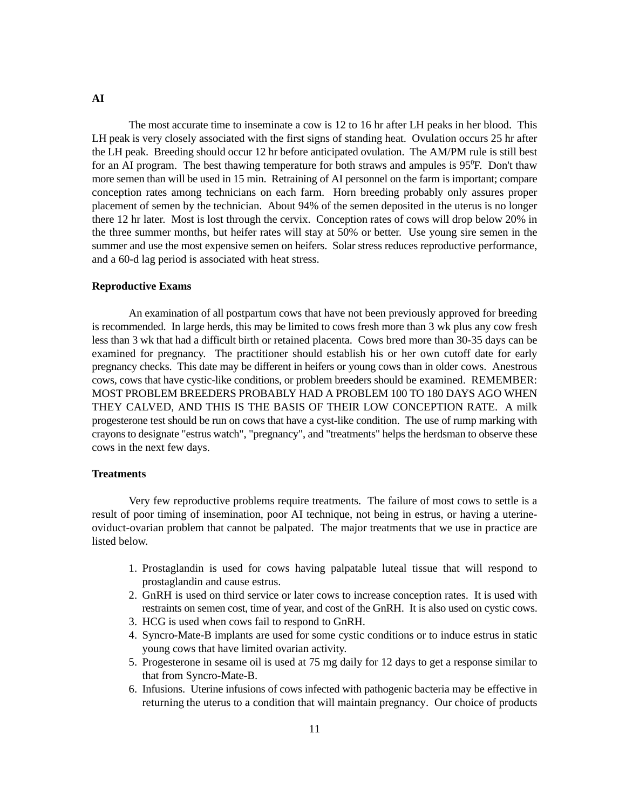#### **AI**

The most accurate time to inseminate a cow is 12 to 16 hr after LH peaks in her blood. This LH peak is very closely associated with the first signs of standing heat. Ovulation occurs 25 hr after the LH peak. Breeding should occur 12 hr before anticipated ovulation. The AM/PM rule is still best for an AI program. The best thawing temperature for both straws and ampules is  $95^{\circ}$ F. Don't thaw more semen than will be used in 15 min. Retraining of AI personnel on the farm is important; compare conception rates among technicians on each farm. Horn breeding probably only assures proper placement of semen by the technician. About 94% of the semen deposited in the uterus is no longer there 12 hr later. Most is lost through the cervix. Conception rates of cows will drop below 20% in the three summer months, but heifer rates will stay at 50% or better. Use young sire semen in the summer and use the most expensive semen on heifers. Solar stress reduces reproductive performance, and a 60-d lag period is associated with heat stress.

#### **Reproductive Exams**

An examination of all postpartum cows that have not been previously approved for breeding is recommended. In large herds, this may be limited to cows fresh more than 3 wk plus any cow fresh less than 3 wk that had a difficult birth or retained placenta. Cows bred more than 30-35 days can be examined for pregnancy. The practitioner should establish his or her own cutoff date for early pregnancy checks. This date may be different in heifers or young cows than in older cows. Anestrous cows, cows that have cystic-like conditions, or problem breeders should be examined. REMEMBER: MOST PROBLEM BREEDERS PROBABLY HAD A PROBLEM 100 TO 180 DAYS AGO WHEN THEY CALVED, AND THIS IS THE BASIS OF THEIR LOW CONCEPTION RATE. A milk progesterone test should be run on cows that have a cyst-like condition. The use of rump marking with crayons to designate "estrus watch", "pregnancy", and "treatments" helps the herdsman to observe these cows in the next few days.

#### **Treatments**

Very few reproductive problems require treatments. The failure of most cows to settle is a result of poor timing of insemination, poor AI technique, not being in estrus, or having a uterineoviduct-ovarian problem that cannot be palpated. The major treatments that we use in practice are listed below.

- 1. Prostaglandin is used for cows having palpatable luteal tissue that will respond to prostaglandin and cause estrus.
- 2. GnRH is used on third service or later cows to increase conception rates. It is used with restraints on semen cost, time of year, and cost of the GnRH. It is also used on cystic cows.
- 3. HCG is used when cows fail to respond to GnRH.
- 4. Syncro-Mate-B implants are used for some cystic conditions or to induce estrus in static young cows that have limited ovarian activity.
- 5. Progesterone in sesame oil is used at 75 mg daily for 12 days to get a response similar to that from Syncro-Mate-B.
- 6. Infusions. Uterine infusions of cows infected with pathogenic bacteria may be effective in returning the uterus to a condition that will maintain pregnancy. Our choice of products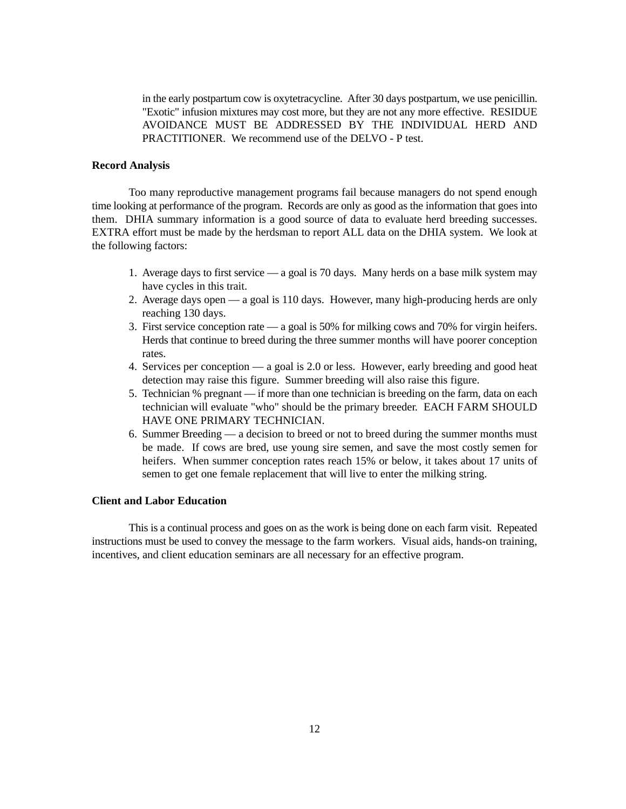in the early postpartum cow is oxytetracycline. After 30 days postpartum, we use penicillin. "Exotic" infusion mixtures may cost more, but they are not any more effective. RESIDUE AVOIDANCE MUST BE ADDRESSED BY THE INDIVIDUAL HERD AND PRACTITIONER. We recommend use of the DELVO - P test.

#### **Record Analysis**

Too many reproductive management programs fail because managers do not spend enough time looking at performance of the program. Records are only as good as the information that goes into them. DHIA summary information is a good source of data to evaluate herd breeding successes. EXTRA effort must be made by the herdsman to report ALL data on the DHIA system. We look at the following factors:

- 1. Average days to first service a goal is 70 days. Many herds on a base milk system may have cycles in this trait.
- 2. Average days open a goal is 110 days. However, many high-producing herds are only reaching 130 days.
- 3. First service conception rate a goal is 50% for milking cows and 70% for virgin heifers. Herds that continue to breed during the three summer months will have poorer conception rates.
- 4. Services per conception a goal is 2.0 or less. However, early breeding and good heat detection may raise this figure. Summer breeding will also raise this figure.
- 5. Technician % pregnant if more than one technician is breeding on the farm, data on each technician will evaluate "who" should be the primary breeder. EACH FARM SHOULD HAVE ONE PRIMARY TECHNICIAN.
- 6. Summer Breeding a decision to breed or not to breed during the summer months must be made. If cows are bred, use young sire semen, and save the most costly semen for heifers. When summer conception rates reach 15% or below, it takes about 17 units of semen to get one female replacement that will live to enter the milking string.

## **Client and Labor Education**

This is a continual process and goes on as the work is being done on each farm visit. Repeated instructions must be used to convey the message to the farm workers. Visual aids, hands-on training, incentives, and client education seminars are all necessary for an effective program.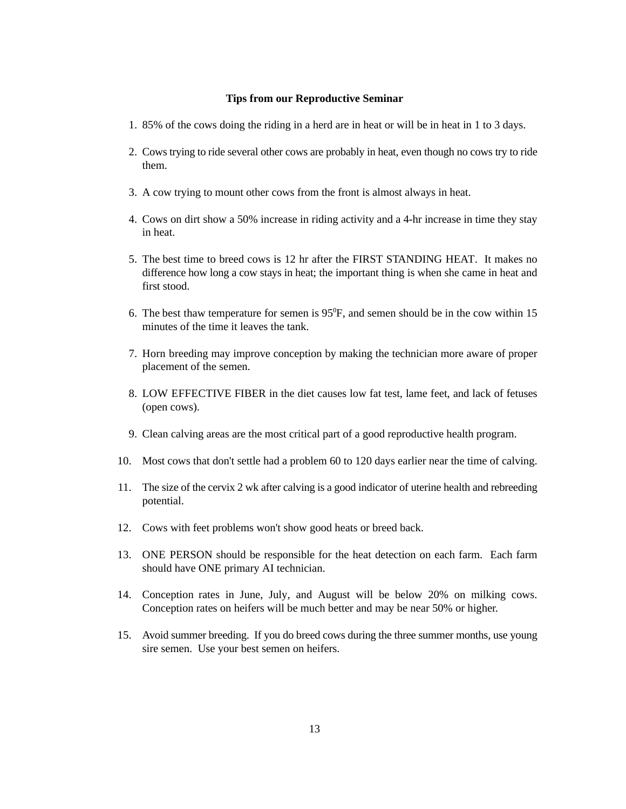#### **Tips from our Reproductive Seminar**

- 1. 85% of the cows doing the riding in a herd are in heat or will be in heat in 1 to 3 days.
- 2. Cows trying to ride several other cows are probably in heat, even though no cows try to ride them.
- 3. A cow trying to mount other cows from the front is almost always in heat.
- 4. Cows on dirt show a 50% increase in riding activity and a 4-hr increase in time they stay in heat.
- 5. The best time to breed cows is 12 hr after the FIRST STANDING HEAT. It makes no difference how long a cow stays in heat; the important thing is when she came in heat and first stood.
- 6. The best thaw temperature for semen is  $95^\circ F$ , and semen should be in the cow within 15 minutes of the time it leaves the tank.
- 7. Horn breeding may improve conception by making the technician more aware of proper placement of the semen.
- 8. LOW EFFECTIVE FIBER in the diet causes low fat test, lame feet, and lack of fetuses (open cows).
- 9. Clean calving areas are the most critical part of a good reproductive health program.
- 10. Most cows that don't settle had a problem 60 to 120 days earlier near the time of calving.
- 11. The size of the cervix 2 wk after calving is a good indicator of uterine health and rebreeding potential.
- 12. Cows with feet problems won't show good heats or breed back.
- 13. ONE PERSON should be responsible for the heat detection on each farm. Each farm should have ONE primary AI technician.
- 14. Conception rates in June, July, and August will be below 20% on milking cows. Conception rates on heifers will be much better and may be near 50% or higher.
- 15. Avoid summer breeding. If you do breed cows during the three summer months, use young sire semen. Use your best semen on heifers.